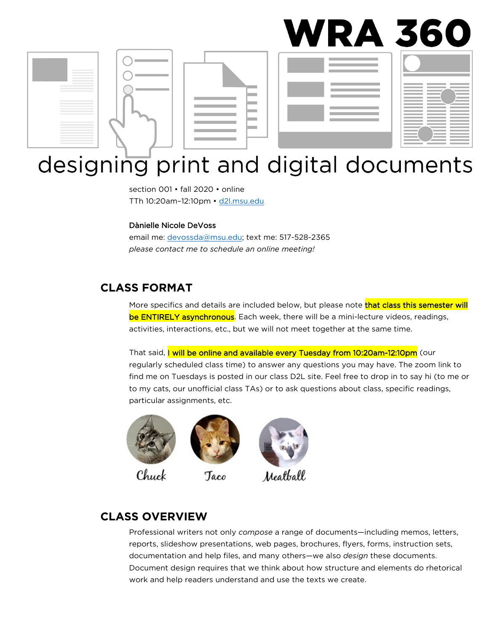

# designing print and digital documents

section 001 • fall 2020 • online TTh 10:20am–12:10pm • [d2l.msu.edu](http://d2l.msu.edu/)

#### Dànielle Nicole DeVoss

email me: [devossda@msu.edu;](mailto:devossda@msu.edu) text me: 517-528-2365 *please contact me to schedule an online meeting!* 

Taco

#### **CLASS FORMAT**

More specifics and details are included below, but please note **that class this semester will** be ENTIRELY asynchronous. Each week, there will be a mini-lecture videos, readings, activities, interactions, etc., but we will not meet together at the same time.

That said, I will be online and available every Tuesday from 10:20am-12:10pm (our regularly scheduled class time) to answer any questions you may have. The zoom link to find me on Tuesdays is posted in our class D2L site. Feel free to drop in to say hi (to me or to my cats, our unofficial class TAs) or to ask questions about class, specific readings, particular assignments, etc.



Chuck



#### **CLASS OVERVIEW**

Professional writers not only *compose* a range of documents—including memos, letters, reports, slideshow presentations, web pages, brochures, flyers, forms, instruction sets, documentation and help files, and many others—we also *design* these documents. Document design requires that we think about how structure and elements do rhetorical work and help readers understand and use the texts we create.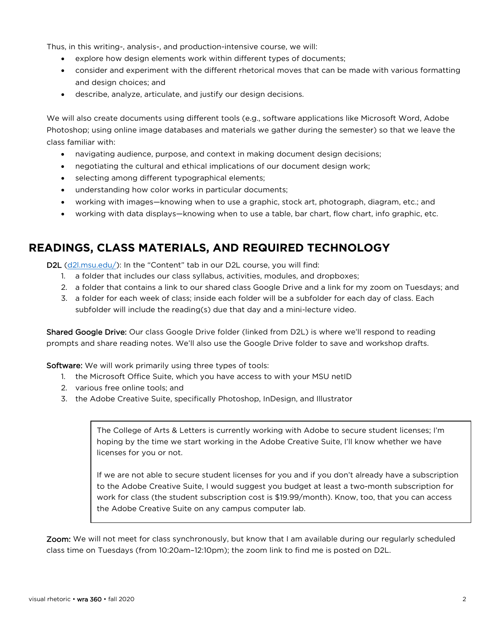Thus, in this writing-, analysis-, and production-intensive course, we will:

- explore how design elements work within different types of documents;
- consider and experiment with the different rhetorical moves that can be made with various formatting and design choices; and
- describe, analyze, articulate, and justify our design decisions.

We will also create documents using different tools (e.g., software applications like Microsoft Word, Adobe Photoshop; using online image databases and materials we gather during the semester) so that we leave the class familiar with:

- navigating audience, purpose, and context in making document design decisions;
- negotiating the cultural and ethical implications of our document design work;
- selecting among different typographical elements;
- understanding how color works in particular documents;
- working with images—knowing when to use a graphic, stock art, photograph, diagram, etc.; and
- working with data displays—knowing when to use a table, bar chart, flow chart, info graphic, etc.

## **READINGS, CLASS MATERIALS, AND REQUIRED TECHNOLOGY**

D2L [\(d2l.msu.edu/\)](https://d2l.msu.edu/d2l/loginh/): In the "Content" tab in our D2L course, you will find:

- 1. a folder that includes our class syllabus, activities, modules, and dropboxes;
- 2. a folder that contains a link to our shared class Google Drive and a link for my zoom on Tuesdays; and
- 3. a folder for each week of class; inside each folder will be a subfolder for each day of class. Each subfolder will include the reading(s) due that day and a mini-lecture video.

Shared Google Drive: Our class Google Drive folder (linked from D2L) is where we'll respond to reading prompts and share reading notes. We'll also use the Google Drive folder to save and workshop drafts.

**Software:** We will work primarily using three types of tools:

- 1. the Microsoft Office Suite, which you have access to with your MSU netID
- 2. various free online tools; and
- 3. the Adobe Creative Suite, specifically Photoshop, InDesign, and Illustrator

The College of Arts & Letters is currently working with Adobe to secure student licenses; I'm hoping by the time we start working in the Adobe Creative Suite, I'll know whether we have licenses for you or not.

If we are not able to secure student licenses for you and if you don't already have a subscription to the Adobe Creative Suite, I would suggest you budget at least a two-month subscription for work for class (the student subscription cost is \$19.99/month). Know, too, that you can access the Adobe Creative Suite on any campus computer lab.

Zoom: We will not meet for class synchronously, but know that I am available during our regularly scheduled class time on Tuesdays (from 10:20am–12:10pm); the zoom link to find me is posted on D2L.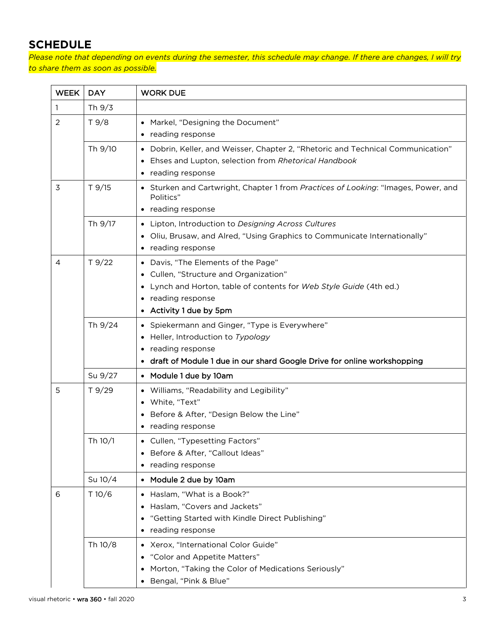# **SCHEDULE**

*Please note that depending on events during the semester, this schedule may change. If there are changes, I will try to share them as soon as possible.*

| <b>WEEK</b>                | <b>DAY</b> | <b>WORK DUE</b>                                                                                                                                                                               |
|----------------------------|------------|-----------------------------------------------------------------------------------------------------------------------------------------------------------------------------------------------|
| 1                          | Th 9/3     |                                                                                                                                                                                               |
| 2                          | T9/8       | Markel, "Designing the Document"<br>reading response                                                                                                                                          |
|                            | Th 9/10    | Dobrin, Keller, and Weisser, Chapter 2, "Rhetoric and Technical Communication"<br>$\bullet$<br>Ehses and Lupton, selection from Rhetorical Handbook<br>reading response                       |
| $T$ 9/15<br>3<br>Politics" |            | Sturken and Cartwright, Chapter 1 from Practices of Looking: "Images, Power, and<br>• reading response                                                                                        |
|                            | Th 9/17    | Lipton, Introduction to Designing Across Cultures<br>$\bullet$<br>Oliu, Brusaw, and Alred, "Using Graphics to Communicate Internationally"<br>reading response                                |
| 4                          | T9/22      | • Davis, "The Elements of the Page"<br>Cullen, "Structure and Organization"<br>Lynch and Horton, table of contents for Web Style Guide (4th ed.)<br>reading response<br>Activity 1 due by 5pm |
|                            | Th 9/24    | Spiekermann and Ginger, "Type is Everywhere"<br>Heller, Introduction to Typology<br>reading response<br>draft of Module 1 due in our shard Google Drive for online workshopping               |
|                            | Su 9/27    | • Module 1 due by 10am                                                                                                                                                                        |
| 5                          | T9/29      | • Williams, "Readability and Legibility"<br>White, "Text"<br>Before & After, "Design Below the Line"<br>reading response                                                                      |
|                            | Th 10/1    | Cullen, "Typesetting Factors"<br>• Before & After, "Callout Ideas"<br>reading response                                                                                                        |
|                            | Su 10/4    | Module 2 due by 10am                                                                                                                                                                          |
| 6                          | T10/6      | Haslam, "What is a Book?"<br>$\bullet$<br>Haslam, "Covers and Jackets"<br>"Getting Started with Kindle Direct Publishing"<br>reading response<br>$\bullet$                                    |
|                            | Th 10/8    | Xerox, "International Color Guide"<br>$\bullet$<br>"Color and Appetite Matters"<br>Morton, "Taking the Color of Medications Seriously"<br>Bengal, "Pink & Blue"                               |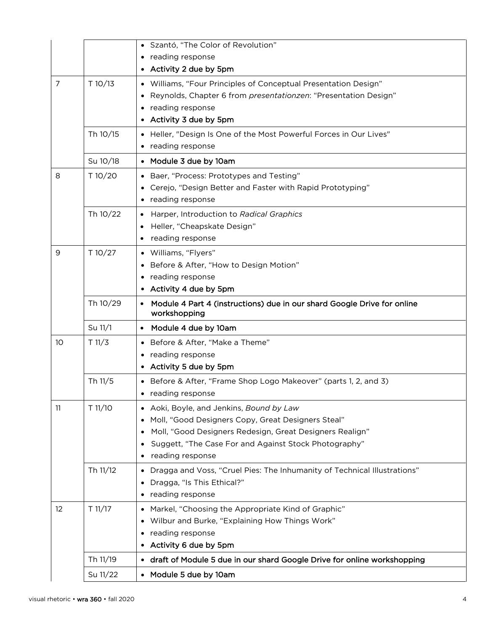| Szantó, "The Color of Revolution"<br>reading response                    |  |  |
|--------------------------------------------------------------------------|--|--|
|                                                                          |  |  |
|                                                                          |  |  |
| Williams, "Four Principles of Conceptual Presentation Design"            |  |  |
| Reynolds, Chapter 6 from presentationzen: "Presentation Design"          |  |  |
|                                                                          |  |  |
|                                                                          |  |  |
| • Heller, "Design Is One of the Most Powerful Forces in Our Lives"       |  |  |
|                                                                          |  |  |
|                                                                          |  |  |
| Baer, "Process: Prototypes and Testing"                                  |  |  |
| Cerejo, "Design Better and Faster with Rapid Prototyping"                |  |  |
|                                                                          |  |  |
| Harper, Introduction to Radical Graphics                                 |  |  |
|                                                                          |  |  |
|                                                                          |  |  |
|                                                                          |  |  |
| Before & After, "How to Design Motion"                                   |  |  |
|                                                                          |  |  |
|                                                                          |  |  |
| Module 4 Part 4 (instructions) due in our shard Google Drive for online  |  |  |
|                                                                          |  |  |
| Before & After, "Make a Theme"                                           |  |  |
|                                                                          |  |  |
|                                                                          |  |  |
| • Before & After, "Frame Shop Logo Makeover" (parts 1, 2, and 3)         |  |  |
|                                                                          |  |  |
| Aoki, Boyle, and Jenkins, Bound by Law                                   |  |  |
| Moll, "Good Designers Copy, Great Designers Steal"                       |  |  |
| Moll, "Good Designers Redesign, Great Designers Realign"                 |  |  |
| Suggett, "The Case For and Against Stock Photography"                    |  |  |
|                                                                          |  |  |
| Dragga and Voss, "Cruel Pies: The Inhumanity of Technical Illustrations" |  |  |
|                                                                          |  |  |
|                                                                          |  |  |
| Markel, "Choosing the Appropriate Kind of Graphic"                       |  |  |
| Wilbur and Burke, "Explaining How Things Work"                           |  |  |
|                                                                          |  |  |
|                                                                          |  |  |
|                                                                          |  |  |
| draft of Module 5 due in our shard Google Drive for online workshopping  |  |  |
|                                                                          |  |  |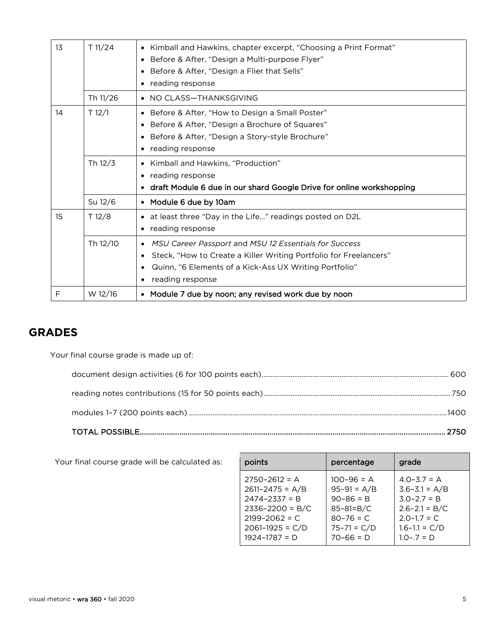| 13 | T 11/24  | Kimball and Hawkins, chapter excerpt, "Choosing a Print Format"<br>$\bullet$<br>Before & After, "Design a Multi-purpose Flyer"<br>٠<br>Before & After, "Design a Flier that Sells"<br>$\bullet$<br>reading response<br>٠                |
|----|----------|-----------------------------------------------------------------------------------------------------------------------------------------------------------------------------------------------------------------------------------------|
|    | Th 11/26 | • NO CLASS-THANKSGIVING                                                                                                                                                                                                                 |
| 14 | T 12/1   | Before & After, "How to Design a Small Poster"<br>$\bullet$<br>Before & After, "Design a Brochure of Squares"<br>$\bullet$<br>Before & After, "Design a Story-style Brochure"<br>٠<br>reading response                                  |
|    | Th 12/3  | Kimball and Hawkins, "Production"<br>$\bullet$<br>reading response<br>٠<br>draft Module 6 due in our shard Google Drive for online workshopping                                                                                         |
|    | Su 12/6  | • Module 6 due by 10am                                                                                                                                                                                                                  |
| 15 | T 12/8   | • at least three "Day in the Life" readings posted on D2L<br>reading response                                                                                                                                                           |
|    | Th 12/10 | MSU Career Passport and MSU 12 Essentials for Success<br>٠<br>Steck, "How to Create a Killer Writing Portfolio for Freelancers"<br>Quinn, "6 Elements of a Kick-Ass UX Writing Portfolio"<br>$\bullet$<br>reading response<br>$\bullet$ |
| F  | W 12/16  | • Module 7 due by noon; any revised work due by noon                                                                                                                                                                                    |

# **GRADES**

Your final course grade is made up of:

Your final course grade will be calculated as:

| points              | percentage      | grade             |
|---------------------|-----------------|-------------------|
| $2750 - 2612 = A$   | $100 - 96 = A$  | $4.0 - 3.7 = A$   |
| $2611 - 2475 = A/B$ | $95-91 = A/B$   | $3.6 - 3.1 = A/B$ |
| $2474 - 2337 = B$   | $90 - 86 = B$   | $3.0 - 2.7 = B$   |
| $2336 - 2200 = B/C$ | $85 - 81 = B/C$ | $2.6 - 2.1 = B/C$ |
| $2199 - 2062 = C$   | $80 - 76 = C$   | $2.0 - 1.7 = C$   |
| $2061 - 1925 = C/D$ | $75 - 71 = C/D$ | $1.6 - 1.1 = C/D$ |
| $1924 - 1787 = D$   | $70 - 66 = D$   | $1.0 - .7 = D$    |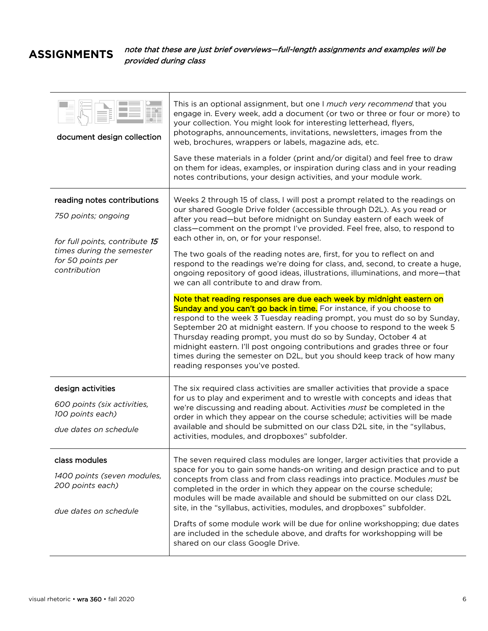# **ASSIGNMENTS**

note that these are just brief overviews—full-length assignments and examples will be provided during class

| document design collection                                                                    | This is an optional assignment, but one I much very recommend that you<br>engage in. Every week, add a document (or two or three or four or more) to<br>your collection. You might look for interesting letterhead, flyers,<br>photographs, announcements, invitations, newsletters, images from the<br>web, brochures, wrappers or labels, magazine ads, etc.<br>Save these materials in a folder (print and/or digital) and feel free to draw<br>on them for ideas, examples, or inspiration during class and in your reading<br>notes contributions, your design activities, and your module work.                                                                  |
|-----------------------------------------------------------------------------------------------|------------------------------------------------------------------------------------------------------------------------------------------------------------------------------------------------------------------------------------------------------------------------------------------------------------------------------------------------------------------------------------------------------------------------------------------------------------------------------------------------------------------------------------------------------------------------------------------------------------------------------------------------------------------------|
| reading notes contributions<br>750 points; ongoing<br>for full points, contribute 15          | Weeks 2 through 15 of class, I will post a prompt related to the readings on<br>our shared Google Drive folder (accessible through D2L). As you read or<br>after you read—but before midnight on Sunday eastern of each week of<br>class-comment on the prompt I've provided. Feel free, also, to respond to<br>each other in, on, or for your response!.                                                                                                                                                                                                                                                                                                              |
| times during the semester<br>for 50 points per<br>contribution                                | The two goals of the reading notes are, first, for you to reflect on and<br>respond to the readings we're doing for class, and, second, to create a huge,<br>ongoing repository of good ideas, illustrations, illuminations, and more-that<br>we can all contribute to and draw from.<br>Note that reading responses are due each week by midnight eastern on<br><b>Sunday and you can't go back in time.</b> For instance, if you choose to<br>respond to the week 3 Tuesday reading prompt, you must do so by Sunday,<br>September 20 at midnight eastern. If you choose to respond to the week 5<br>Thursday reading prompt, you must do so by Sunday, October 4 at |
|                                                                                               | midnight eastern. I'll post ongoing contributions and grades three or four<br>times during the semester on D2L, but you should keep track of how many<br>reading responses you've posted.                                                                                                                                                                                                                                                                                                                                                                                                                                                                              |
| design activities<br>600 points (six activities,<br>100 points each)<br>due dates on schedule | The six required class activities are smaller activities that provide a space<br>for us to play and experiment and to wrestle with concepts and ideas that<br>we're discussing and reading about. Activities must be completed in the<br>order in which they appear on the course schedule; activities will be made<br>available and should be submitted on our class D2L site, in the "syllabus,<br>activities, modules, and dropboxes" subfolder.                                                                                                                                                                                                                    |
| class modules<br>1400 points (seven modules,<br>200 points each)<br>due dates on schedule     | The seven required class modules are longer, larger activities that provide a<br>space for you to gain some hands-on writing and design practice and to put<br>concepts from class and from class readings into practice. Modules must be<br>completed in the order in which they appear on the course schedule;<br>modules will be made available and should be submitted on our class D2L<br>site, in the "syllabus, activities, modules, and dropboxes" subfolder.<br>Drafts of some module work will be due for online workshopping; due dates<br>are included in the schedule above, and drafts for workshopping will be<br>shared on our class Google Drive.     |